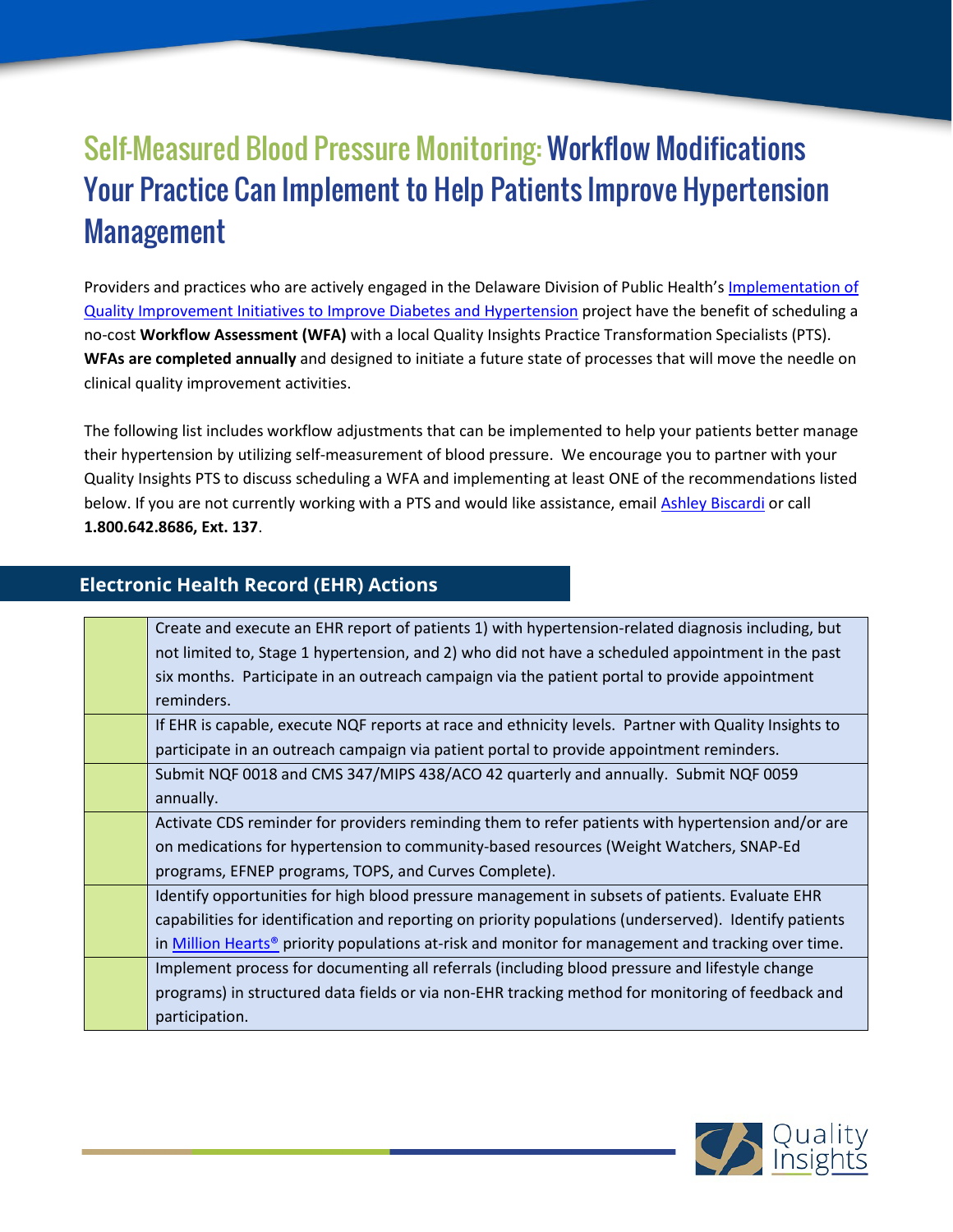# Self-Measured Blood Pressure Monitoring: Workflow Modifications Your Practice Can Implement to Help Patients Improve Hypertension Management

Providers and practices who are actively engaged in the Delaware Division of Public Health's Implementation of [Quality Improvement Initiatives to Improve Diabetes](http://improve.qualityinsights.org/Projects/DE-Hypertension-and-Diabetes.aspx) and Hypertension project have the benefit of scheduling a no-cost **Workflow Assessment (WFA)** with a local Quality Insights Practice Transformation Specialists (PTS). **WFAs are completed annually** and designed to initiate a future state of processes that will move the needle on clinical quality improvement activities.

The following list includes workflow adjustments that can be implemented to help your patients better manage their hypertension by utilizing self-measurement of blood pressure. We encourage you to partner with your Quality Insights PTS to discuss scheduling a WFA and implementing at least ONE of the recommendations listed below. If you are not currently working with a PTS and would like assistance, email [Ashley Biscardi](mailto:abiscardi@qualityinsights.org) or call **1.800.642.8686, Ext. 137**.

#### **Electronic Health Record (EHR) Actions**

| Create and execute an EHR report of patients 1) with hypertension-related diagnosis including, but                   |
|----------------------------------------------------------------------------------------------------------------------|
| not limited to, Stage 1 hypertension, and 2) who did not have a scheduled appointment in the past                    |
| six months. Participate in an outreach campaign via the patient portal to provide appointment                        |
| reminders.                                                                                                           |
| If EHR is capable, execute NQF reports at race and ethnicity levels. Partner with Quality Insights to                |
| participate in an outreach campaign via patient portal to provide appointment reminders.                             |
| Submit NQF 0018 and CMS 347/MIPS 438/ACO 42 quarterly and annually. Submit NQF 0059                                  |
| annually.                                                                                                            |
| Activate CDS reminder for providers reminding them to refer patients with hypertension and/or are                    |
| on medications for hypertension to community-based resources (Weight Watchers, SNAP-Ed                               |
| programs, EFNEP programs, TOPS, and Curves Complete).                                                                |
| Identify opportunities for high blood pressure management in subsets of patients. Evaluate EHR                       |
| capabilities for identification and reporting on priority populations (underserved). Identify patients               |
| in <b>Million Hearts<sup>®</sup></b> priority populations at-risk and monitor for management and tracking over time. |
| Implement process for documenting all referrals (including blood pressure and lifestyle change                       |
| programs) in structured data fields or via non-EHR tracking method for monitoring of feedback and                    |
| participation.                                                                                                       |
|                                                                                                                      |

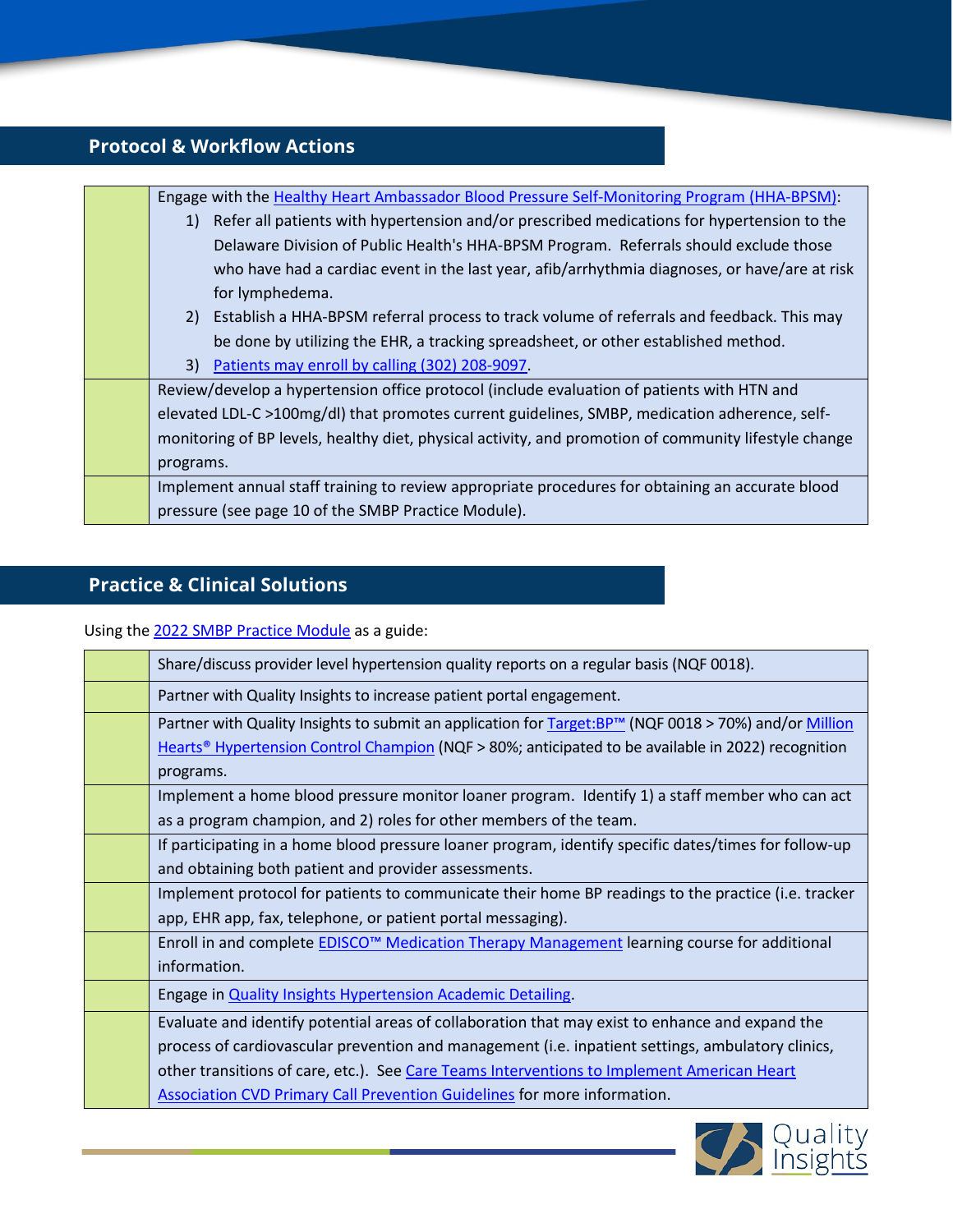## **Protocol & Workflow Actions**

| Engage with the Healthy Heart Ambassador Blood Pressure Self-Monitoring Program (HHA-BPSM):           |
|-------------------------------------------------------------------------------------------------------|
| Refer all patients with hypertension and/or prescribed medications for hypertension to the<br>1)      |
| Delaware Division of Public Health's HHA-BPSM Program. Referrals should exclude those                 |
| who have had a cardiac event in the last year, afib/arrhythmia diagnoses, or have/are at risk         |
| for lymphedema.                                                                                       |
| 2) Establish a HHA-BPSM referral process to track volume of referrals and feedback. This may          |
| be done by utilizing the EHR, a tracking spreadsheet, or other established method.                    |
| 3) Patients may enroll by calling (302) 208-9097.                                                     |
| Review/develop a hypertension office protocol (include evaluation of patients with HTN and            |
| elevated LDL-C >100mg/dl) that promotes current guidelines, SMBP, medication adherence, self-         |
| monitoring of BP levels, healthy diet, physical activity, and promotion of community lifestyle change |
| programs.                                                                                             |
| Implement annual staff training to review appropriate procedures for obtaining an accurate blood      |
| pressure (see page 10 of the SMBP Practice Module).                                                   |
|                                                                                                       |

#### **Practice & Clinical Solutions**

#### Using the [2022 SMBP Practice Module](https://improve.qualityinsights.org/Projects/DE-Hypertension-and-Diabetes/Practice-Toolkits.aspx) as a guide:

| Share/discuss provider level hypertension quality reports on a regular basis (NQF 0018).                       |
|----------------------------------------------------------------------------------------------------------------|
| Partner with Quality Insights to increase patient portal engagement.                                           |
| Partner with Quality Insights to submit an application for Target:BP™ (NQF 0018 > 70%) and/or Million          |
| Hearts <sup>®</sup> Hypertension Control Champion (NQF > 80%; anticipated to be available in 2022) recognition |
| programs.                                                                                                      |
| Implement a home blood pressure monitor loaner program. Identify 1) a staff member who can act                 |
| as a program champion, and 2) roles for other members of the team.                                             |
| If participating in a home blood pressure loaner program, identify specific dates/times for follow-up          |
| and obtaining both patient and provider assessments.                                                           |
| Implement protocol for patients to communicate their home BP readings to the practice (i.e. tracker            |
| app, EHR app, fax, telephone, or patient portal messaging).                                                    |
| Enroll in and complete <b>EDISCO<sup>™</sup> Medication Therapy Management</b> learning course for additional  |
| information.                                                                                                   |
| Engage in <b>Quality Insights Hypertension Academic Detailing</b> .                                            |
| Evaluate and identify potential areas of collaboration that may exist to enhance and expand the                |
| process of cardiovascular prevention and management (i.e. inpatient settings, ambulatory clinics,              |
| other transitions of care, etc.). See Care Teams Interventions to Implement American Heart                     |
| <b>Association CVD Primary Call Prevention Guidelines for more information.</b>                                |